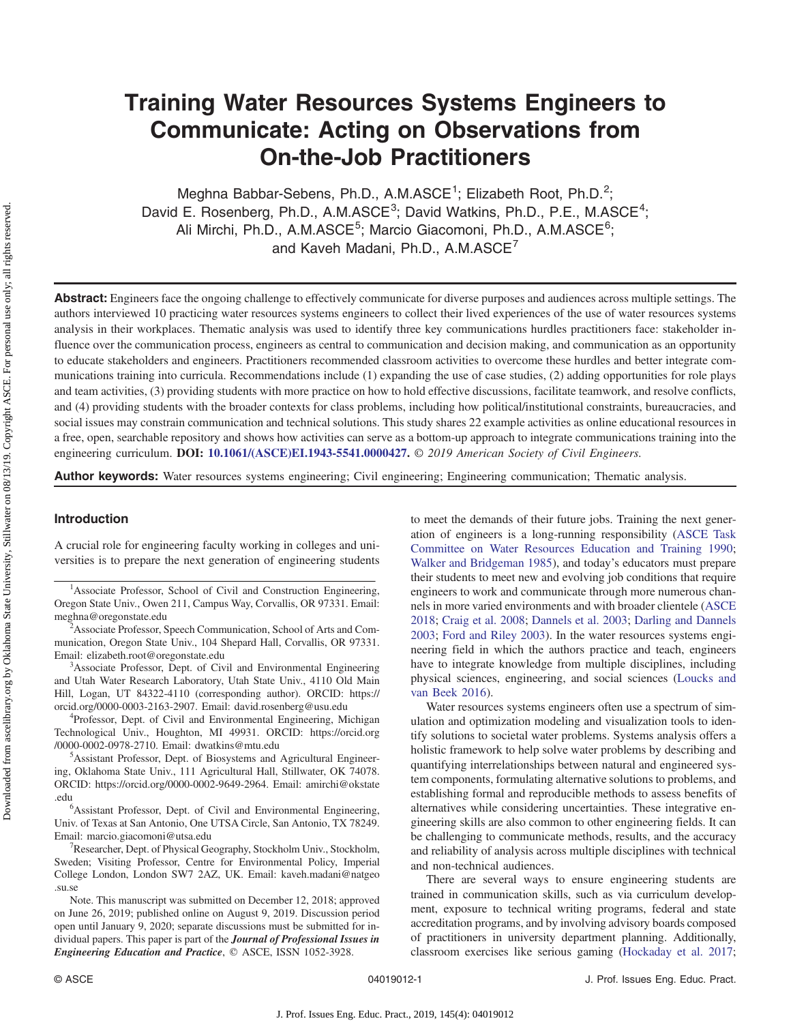# Training Water Resources Systems Engineers to Communicate: Acting on Observations from On-the-Job Practitioners

Meghna Babbar-Sebens, Ph.D., A.M.ASCE<sup>1</sup>; Elizabeth Root, Ph.D.<sup>2</sup>; David E. Rosenberg, Ph.D., A.M.ASCE<sup>3</sup>; David Watkins, Ph.D., P.E., M.ASCE<sup>4</sup>; Ali Mirchi, Ph.D., A.M.ASCE<sup>5</sup>; Marcio Giacomoni, Ph.D., A.M.ASCE<sup>6</sup>; and Kaveh Madani, Ph.D., A.M.ASCE<sup>7</sup>

Abstract: Engineers face the ongoing challenge to effectively communicate for diverse purposes and audiences across multiple settings. The authors interviewed 10 practicing water resources systems engineers to collect their lived experiences of the use of water resources systems analysis in their workplaces. Thematic analysis was used to identify three key communications hurdles practitioners face: stakeholder influence over the communication process, engineers as central to communication and decision making, and communication as an opportunity to educate stakeholders and engineers. Practitioners recommended classroom activities to overcome these hurdles and better integrate communications training into curricula. Recommendations include (1) expanding the use of case studies, (2) adding opportunities for role plays and team activities, (3) providing students with more practice on how to hold effective discussions, facilitate teamwork, and resolve conflicts, and (4) providing students with the broader contexts for class problems, including how political/institutional constraints, bureaucracies, and social issues may constrain communication and technical solutions. This study shares 22 example activities as online educational resources in a free, open, searchable repository and shows how activities can serve as a bottom-up approach to integrate communications training into the engineering curriculum. DOI: [10.1061/\(ASCE\)EI.1943-5541.0000427](https://doi.org/10.1061/(ASCE)EI.1943-5541.0000427). © 2019 American Society of Civil Engineers.

Author keywords: Water resources systems engineering; Civil engineering; Engineering communication; Thematic analysis.

## Introduction

A crucial role for engineering faculty working in colleges and universities is to prepare the next generation of engineering students

<sup>2</sup>Associate Professor, Speech Communication, School of Arts and Communication, Oregon State Univ., 104 Shepard Hall, Corvallis, OR 97331. Email: [elizabeth.root@oregonstate.edu](mailto:elizabeth.root@oregonstate.edu) <sup>3</sup>

<sup>3</sup>Associate Professor, Dept. of Civil and Environmental Engineering and Utah Water Research Laboratory, Utah State Univ., 4110 Old Main Hill, Logan, UT 84322-4110 (corresponding author). ORCID: [https://](https://orcid.org/0000-0003-2163-2907) [orcid.org/0000-0003-2163-2907](https://orcid.org/0000-0003-2163-2907). Email: [david.rosenberg@usu.edu](mailto:david.rosenberg@usu.edu) <sup>4</sup>

<sup>4</sup>Professor, Dept. of Civil and Environmental Engineering, Michigan Technological Univ., Houghton, MI 49931. ORCID: [https://orcid.org](https://orcid.org/0000-0002-0978-2710) [/0000-0002-0978-2710.](https://orcid.org/0000-0002-0978-2710) Email: [dwatkins@mtu.edu](mailto:dwatkins@mtu.edu) <sup>5</sup>

<sup>5</sup>Assistant Professor, Dept. of Biosystems and Agricultural Engineering, Oklahoma State Univ., 111 Agricultural Hall, Stillwater, OK 74078. ORCID:<https://orcid.org/0000-0002-9649-2964>. Email: [amirchi@okstate](mailto:amirchi@okstate.edu) .edu

Assistant Professor, Dept. of Civil and Environmental Engineering, Univ. of Texas at San Antonio, One UTSA Circle, San Antonio, TX 78249. Email: [marcio.giacomoni@utsa.edu](mailto:marcio.giacomoni@utsa.edu) <sup>7</sup>

 $R$ esearcher, Dept. of Physical Geography, Stockholm Univ., Stockholm, Sweden; Visiting Professor, Centre for Environmental Policy, Imperial College London, London SW7 2AZ, UK. Email: [kaveh.madani@natgeo](mailto:kaveh.madani@natgeo.su.se) [.su.se](mailto:kaveh.madani@natgeo.su.se)

Note. This manuscript was submitted on December 12, 2018; approved on June 26, 2019; published online on August 9, 2019. Discussion period open until January 9, 2020; separate discussions must be submitted for individual papers. This paper is part of the **Journal of Professional Issues in** Engineering Education and Practice, © ASCE, ISSN 1052-3928.

to meet the demands of their future jobs. Training the next generation of engineers is a long-running responsibility [\(ASCE Task](#page-9-0) [Committee on Water Resources Education and Training 1990](#page-9-0); [Walker and Bridgeman 1985\)](#page-10-0), and today's educators must prepare their students to meet new and evolving job conditions that require engineers to work and communicate through more numerous channels in more varied environments and with broader clientele ([ASCE](#page-9-0) [2018](#page-9-0); [Craig et al. 2008](#page-9-0); [Dannels et al. 2003;](#page-9-0) [Darling and Dannels](#page-9-0) [2003](#page-9-0); [Ford and Riley 2003](#page-9-0)). In the water resources systems engineering field in which the authors practice and teach, engineers have to integrate knowledge from multiple disciplines, including physical sciences, engineering, and social sciences [\(Loucks and](#page-9-0) [van Beek 2016\)](#page-9-0).

Water resources systems engineers often use a spectrum of simulation and optimization modeling and visualization tools to identify solutions to societal water problems. Systems analysis offers a holistic framework to help solve water problems by describing and quantifying interrelationships between natural and engineered system components, formulating alternative solutions to problems, and establishing formal and reproducible methods to assess benefits of alternatives while considering uncertainties. These integrative engineering skills are also common to other engineering fields. It can be challenging to communicate methods, results, and the accuracy and reliability of analysis across multiple disciplines with technical and non-technical audiences.

There are several ways to ensure engineering students are trained in communication skills, such as via curriculum development, exposure to technical writing programs, federal and state accreditation programs, and by involving advisory boards composed of practitioners in university department planning. Additionally, classroom exercises like serious gaming [\(Hockaday et al. 2017](#page-9-0);

<sup>&</sup>lt;sup>1</sup>Associate Professor, School of Civil and Construction Engineering, Oregon State Univ., Owen 211, Campus Way, Corvallis, OR 97331. Email: [meghna@oregonstate.edu](mailto:meghna@oregonstate.edu) <sup>2</sup>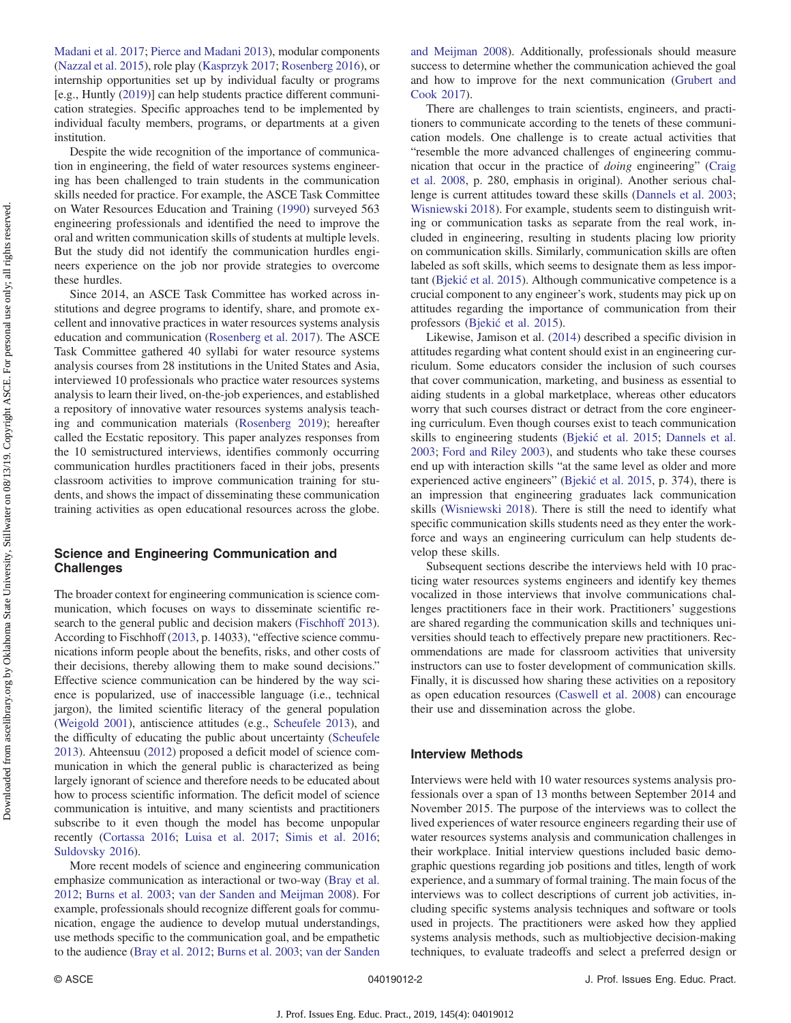[Madani et al. 2017;](#page-9-0) [Pierce and Madani 2013\)](#page-10-0), modular components [\(Nazzal et al. 2015\)](#page-10-0), role play ([Kasprzyk 2017](#page-9-0); [Rosenberg 2016\)](#page-10-0), or internship opportunities set up by individual faculty or programs [e.g., Huntly [\(2019\)](#page-9-0)] can help students practice different communication strategies. Specific approaches tend to be implemented by individual faculty members, programs, or departments at a given institution.

Despite the wide recognition of the importance of communication in engineering, the field of water resources systems engineering has been challenged to train students in the communication skills needed for practice. For example, the ASCE Task Committee on Water Resources Education and Training ([1990\)](#page-9-0) surveyed 563 engineering professionals and identified the need to improve the oral and written communication skills of students at multiple levels. But the study did not identify the communication hurdles engineers experience on the job nor provide strategies to overcome these hurdles.

Since 2014, an ASCE Task Committee has worked across institutions and degree programs to identify, share, and promote excellent and innovative practices in water resources systems analysis education and communication ([Rosenberg et al. 2017\)](#page-10-0). The ASCE Task Committee gathered 40 syllabi for water resource systems analysis courses from 28 institutions in the United States and Asia, interviewed 10 professionals who practice water resources systems analysis to learn their lived, on-the-job experiences, and established a repository of innovative water resources systems analysis teaching and communication materials [\(Rosenberg 2019\)](#page-10-0); hereafter called the Ecstatic repository. This paper analyzes responses from the 10 semistructured interviews, identifies commonly occurring communication hurdles practitioners faced in their jobs, presents classroom activities to improve communication training for students, and shows the impact of disseminating these communication training activities as open educational resources across the globe.

# Science and Engineering Communication and **Challenges**

The broader context for engineering communication is science communication, which focuses on ways to disseminate scientific research to the general public and decision makers ([Fischhoff 2013\)](#page-9-0). According to Fischhoff ([2013,](#page-9-0) p. 14033), "effective science communications inform people about the benefits, risks, and other costs of their decisions, thereby allowing them to make sound decisions." Effective science communication can be hindered by the way science is popularized, use of inaccessible language (i.e., technical jargon), the limited scientific literacy of the general population [\(Weigold 2001](#page-10-0)), antiscience attitudes (e.g., [Scheufele 2013](#page-10-0)), and the difficulty of educating the public about uncertainty [\(Scheufele](#page-10-0) [2013\)](#page-10-0). Ahteensuu [\(2012](#page-9-0)) proposed a deficit model of science communication in which the general public is characterized as being largely ignorant of science and therefore needs to be educated about how to process scientific information. The deficit model of science communication is intuitive, and many scientists and practitioners subscribe to it even though the model has become unpopular recently ([Cortassa 2016;](#page-9-0) [Luisa et al. 2017](#page-9-0); [Simis et al. 2016](#page-10-0); [Suldovsky 2016\)](#page-10-0).

More recent models of science and engineering communication emphasize communication as interactional or two-way [\(Bray et al.](#page-9-0) [2012;](#page-9-0) [Burns et al. 2003;](#page-9-0) [van der Sanden and Meijman 2008\)](#page-10-0). For example, professionals should recognize different goals for communication, engage the audience to develop mutual understandings, use methods specific to the communication goal, and be empathetic to the audience ([Bray et al. 2012](#page-9-0); [Burns et al. 2003;](#page-9-0) [van der Sanden](#page-10-0) [and Meijman 2008\)](#page-10-0). Additionally, professionals should measure success to determine whether the communication achieved the goal and how to improve for the next communication ([Grubert and](#page-9-0) [Cook 2017\)](#page-9-0).

There are challenges to train scientists, engineers, and practitioners to communicate according to the tenets of these communication models. One challenge is to create actual activities that "resemble the more advanced challenges of engineering communication that occur in the practice of doing engineering" [\(Craig](#page-9-0) [et al. 2008](#page-9-0), p. 280, emphasis in original). Another serious challenge is current attitudes toward these skills ([Dannels et al. 2003](#page-9-0); [Wisniewski 2018](#page-10-0)). For example, students seem to distinguish writing or communication tasks as separate from the real work, included in engineering, resulting in students placing low priority on communication skills. Similarly, communication skills are often labeled as soft skills, which seems to designate them as less impor-tant [\(Bjeki](#page-9-0)ć et al. 2015). Although communicative competence is a crucial component to any engineer's work, students may pick up on attitudes regarding the importance of communication from their professors [\(Bjeki](#page-9-0)ć et al. 2015).

Likewise, Jamison et al. [\(2014\)](#page-9-0) described a specific division in attitudes regarding what content should exist in an engineering curriculum. Some educators consider the inclusion of such courses that cover communication, marketing, and business as essential to aiding students in a global marketplace, whereas other educators worry that such courses distract or detract from the core engineering curriculum. Even though courses exist to teach communication skills to engineering students ([Bjeki](#page-9-0)ć et al. 2015; [Dannels et al.](#page-9-0) [2003](#page-9-0); [Ford and Riley 2003](#page-9-0)), and students who take these courses end up with interaction skills "at the same level as older and more experienced active engineers" [\(Bjeki](#page-9-0)ć et al. 2015, p. 374), there is an impression that engineering graduates lack communication skills [\(Wisniewski 2018\)](#page-10-0). There is still the need to identify what specific communication skills students need as they enter the workforce and ways an engineering curriculum can help students develop these skills.

Subsequent sections describe the interviews held with 10 practicing water resources systems engineers and identify key themes vocalized in those interviews that involve communications challenges practitioners face in their work. Practitioners' suggestions are shared regarding the communication skills and techniques universities should teach to effectively prepare new practitioners. Recommendations are made for classroom activities that university instructors can use to foster development of communication skills. Finally, it is discussed how sharing these activities on a repository as open education resources [\(Caswell et al. 2008](#page-9-0)) can encourage their use and dissemination across the globe.

# Interview Methods

Interviews were held with 10 water resources systems analysis professionals over a span of 13 months between September 2014 and November 2015. The purpose of the interviews was to collect the lived experiences of water resource engineers regarding their use of water resources systems analysis and communication challenges in their workplace. Initial interview questions included basic demographic questions regarding job positions and titles, length of work experience, and a summary of formal training. The main focus of the interviews was to collect descriptions of current job activities, including specific systems analysis techniques and software or tools used in projects. The practitioners were asked how they applied systems analysis methods, such as multiobjective decision-making techniques, to evaluate tradeoffs and select a preferred design or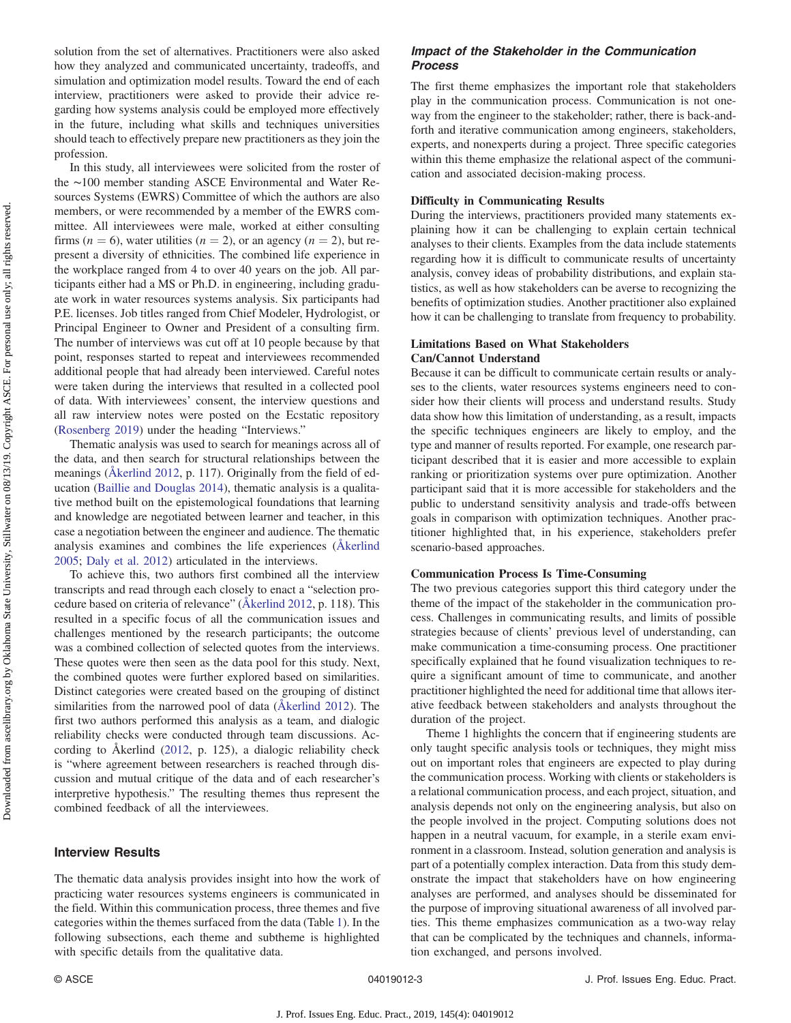solution from the set of alternatives. Practitioners were also asked how they analyzed and communicated uncertainty, tradeoffs, and simulation and optimization model results. Toward the end of each interview, practitioners were asked to provide their advice regarding how systems analysis could be employed more effectively in the future, including what skills and techniques universities should teach to effectively prepare new practitioners as they join the profession.

In this study, all interviewees were solicited from the roster of the ∼100 member standing ASCE Environmental and Water Resources Systems (EWRS) Committee of which the authors are also members, or were recommended by a member of the EWRS committee. All interviewees were male, worked at either consulting firms ( $n = 6$ ), water utilities ( $n = 2$ ), or an agency ( $n = 2$ ), but represent a diversity of ethnicities. The combined life experience in the workplace ranged from 4 to over 40 years on the job. All participants either had a MS or Ph.D. in engineering, including graduate work in water resources systems analysis. Six participants had P.E. licenses. Job titles ranged from Chief Modeler, Hydrologist, or Principal Engineer to Owner and President of a consulting firm. The number of interviews was cut off at 10 people because by that point, responses started to repeat and interviewees recommended additional people that had already been interviewed. Careful notes were taken during the interviews that resulted in a collected pool of data. With interviewees' consent, the interview questions and all raw interview notes were posted on the Ecstatic repository [\(Rosenberg 2019\)](#page-10-0) under the heading "Interviews."

Thematic analysis was used to search for meanings across all of the data, and then search for structural relationships between the meanings ([Åkerlind 2012,](#page-9-0) p. 117). Originally from the field of education ([Baillie and Douglas 2014](#page-9-0)), thematic analysis is a qualitative method built on the epistemological foundations that learning and knowledge are negotiated between learner and teacher, in this case a negotiation between the engineer and audience. The thematic analysis examines and combines the life experiences ([Åkerlind](#page-9-0) [2005](#page-9-0); [Daly et al. 2012](#page-9-0)) articulated in the interviews.

To achieve this, two authors first combined all the interview transcripts and read through each closely to enact a "selection procedure based on criteria of relevance" [\(Åkerlind 2012,](#page-9-0) p. 118). This resulted in a specific focus of all the communication issues and challenges mentioned by the research participants; the outcome was a combined collection of selected quotes from the interviews. These quotes were then seen as the data pool for this study. Next, the combined quotes were further explored based on similarities. Distinct categories were created based on the grouping of distinct similarities from the narrowed pool of data ([Åkerlind 2012\)](#page-9-0). The first two authors performed this analysis as a team, and dialogic reliability checks were conducted through team discussions. According to Åkerlind ([2012](#page-9-0), p. 125), a dialogic reliability check is "where agreement between researchers is reached through discussion and mutual critique of the data and of each researcher's interpretive hypothesis." The resulting themes thus represent the combined feedback of all the interviewees.

# Interview Results

The thematic data analysis provides insight into how the work of practicing water resources systems engineers is communicated in the field. Within this communication process, three themes and five categories within the themes surfaced from the data (Table [1](#page-3-0)). In the following subsections, each theme and subtheme is highlighted with specific details from the qualitative data.

# Impact of the Stakeholder in the Communication Process

The first theme emphasizes the important role that stakeholders play in the communication process. Communication is not oneway from the engineer to the stakeholder; rather, there is back-andforth and iterative communication among engineers, stakeholders, experts, and nonexperts during a project. Three specific categories within this theme emphasize the relational aspect of the communication and associated decision-making process.

#### Difficulty in Communicating Results

During the interviews, practitioners provided many statements explaining how it can be challenging to explain certain technical analyses to their clients. Examples from the data include statements regarding how it is difficult to communicate results of uncertainty analysis, convey ideas of probability distributions, and explain statistics, as well as how stakeholders can be averse to recognizing the benefits of optimization studies. Another practitioner also explained how it can be challenging to translate from frequency to probability.

#### Limitations Based on What Stakeholders Can/Cannot Understand

Because it can be difficult to communicate certain results or analyses to the clients, water resources systems engineers need to consider how their clients will process and understand results. Study data show how this limitation of understanding, as a result, impacts the specific techniques engineers are likely to employ, and the type and manner of results reported. For example, one research participant described that it is easier and more accessible to explain ranking or prioritization systems over pure optimization. Another participant said that it is more accessible for stakeholders and the public to understand sensitivity analysis and trade-offs between goals in comparison with optimization techniques. Another practitioner highlighted that, in his experience, stakeholders prefer scenario-based approaches.

#### Communication Process Is Time-Consuming

The two previous categories support this third category under the theme of the impact of the stakeholder in the communication process. Challenges in communicating results, and limits of possible strategies because of clients' previous level of understanding, can make communication a time-consuming process. One practitioner specifically explained that he found visualization techniques to require a significant amount of time to communicate, and another practitioner highlighted the need for additional time that allows iterative feedback between stakeholders and analysts throughout the duration of the project.

Theme 1 highlights the concern that if engineering students are only taught specific analysis tools or techniques, they might miss out on important roles that engineers are expected to play during the communication process. Working with clients or stakeholders is a relational communication process, and each project, situation, and analysis depends not only on the engineering analysis, but also on the people involved in the project. Computing solutions does not happen in a neutral vacuum, for example, in a sterile exam environment in a classroom. Instead, solution generation and analysis is part of a potentially complex interaction. Data from this study demonstrate the impact that stakeholders have on how engineering analyses are performed, and analyses should be disseminated for the purpose of improving situational awareness of all involved parties. This theme emphasizes communication as a two-way relay that can be complicated by the techniques and channels, information exchanged, and persons involved.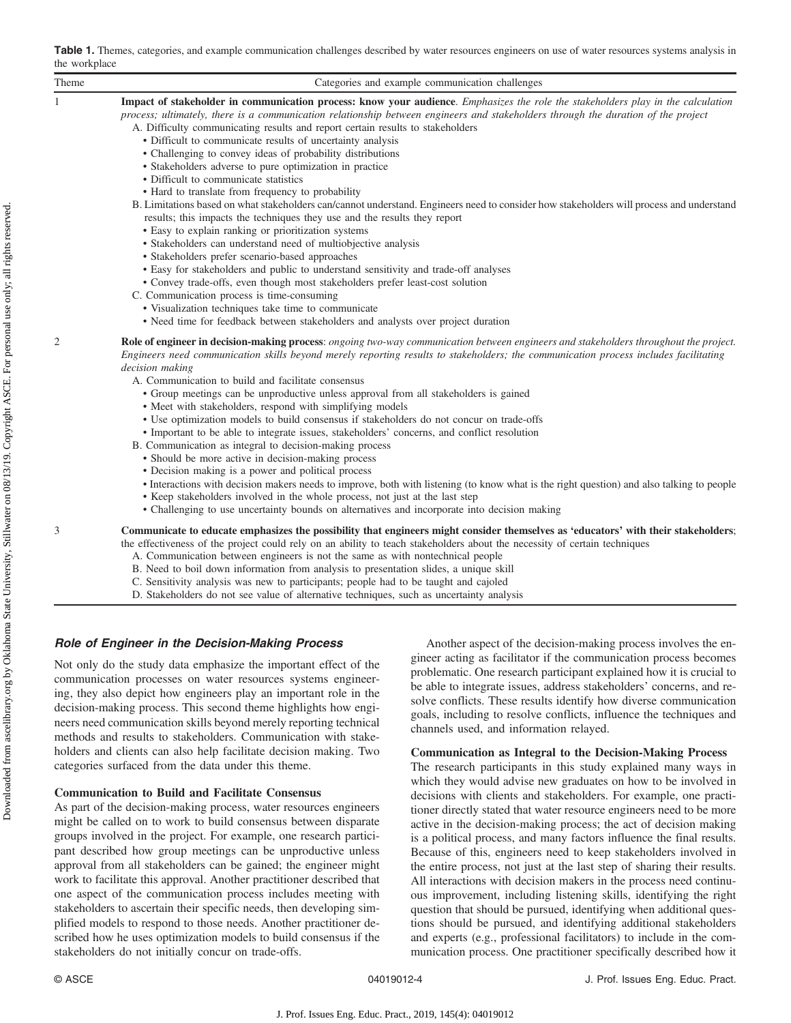<span id="page-3-0"></span>

|               | Table 1. Themes, categories, and example communication challenges described by water resources engineers on use of water resources systems analysis in |  |  |
|---------------|--------------------------------------------------------------------------------------------------------------------------------------------------------|--|--|
| the workplace |                                                                                                                                                        |  |  |

| the workplace |                                                                                                                                                                                                                                                                                                                                                                                                                                                                                                                                                                                                                                                                                                                                                                                                                                                                                                                                                                                                                                                                                                                                                                                                                                                                                                                                                                                                                   |  |  |  |  |
|---------------|-------------------------------------------------------------------------------------------------------------------------------------------------------------------------------------------------------------------------------------------------------------------------------------------------------------------------------------------------------------------------------------------------------------------------------------------------------------------------------------------------------------------------------------------------------------------------------------------------------------------------------------------------------------------------------------------------------------------------------------------------------------------------------------------------------------------------------------------------------------------------------------------------------------------------------------------------------------------------------------------------------------------------------------------------------------------------------------------------------------------------------------------------------------------------------------------------------------------------------------------------------------------------------------------------------------------------------------------------------------------------------------------------------------------|--|--|--|--|
| Theme         | Categories and example communication challenges                                                                                                                                                                                                                                                                                                                                                                                                                                                                                                                                                                                                                                                                                                                                                                                                                                                                                                                                                                                                                                                                                                                                                                                                                                                                                                                                                                   |  |  |  |  |
| $\mathbf{1}$  | Impact of stakeholder in communication process: know your audience. Emphasizes the role the stakeholders play in the calculation<br>process; ultimately, there is a communication relationship between engineers and stakeholders through the duration of the project<br>A. Difficulty communicating results and report certain results to stakeholders<br>• Difficult to communicate results of uncertainty analysis<br>• Challenging to convey ideas of probability distributions<br>• Stakeholders adverse to pure optimization in practice<br>• Difficult to communicate statistics<br>• Hard to translate from frequency to probability<br>B. Limitations based on what stakeholders can/cannot understand. Engineers need to consider how stakeholders will process and understand<br>results; this impacts the techniques they use and the results they report<br>• Easy to explain ranking or prioritization systems<br>• Stakeholders can understand need of multiobjective analysis<br>• Stakeholders prefer scenario-based approaches<br>• Easy for stakeholders and public to understand sensitivity and trade-off analyses<br>• Convey trade-offs, even though most stakeholders prefer least-cost solution<br>C. Communication process is time-consuming<br>• Visualization techniques take time to communicate<br>· Need time for feedback between stakeholders and analysts over project duration |  |  |  |  |
| 2             | Role of engineer in decision-making process: ongoing two-way communication between engineers and stakeholders throughout the project.<br>Engineers need communication skills beyond merely reporting results to stakeholders; the communication process includes facilitating<br>decision making<br>A. Communication to build and facilitate consensus<br>• Group meetings can be unproductive unless approval from all stakeholders is gained<br>• Meet with stakeholders, respond with simplifying models<br>• Use optimization models to build consensus if stakeholders do not concur on trade-offs<br>• Important to be able to integrate issues, stakeholders' concerns, and conflict resolution<br>B. Communication as integral to decision-making process<br>• Should be more active in decision-making process<br>• Decision making is a power and political process<br>• Interactions with decision makers needs to improve, both with listening (to know what is the right question) and also talking to people<br>• Keep stakeholders involved in the whole process, not just at the last step<br>• Challenging to use uncertainty bounds on alternatives and incorporate into decision making                                                                                                                                                                                                        |  |  |  |  |
| 3             | Communicate to educate emphasizes the possibility that engineers might consider themselves as 'educators' with their stakeholders;<br>the effectiveness of the project could rely on an ability to teach stakeholders about the necessity of certain techniques<br>A. Communication between engineers is not the same as with nontechnical people<br>B. Need to boil down information from analysis to presentation slides, a unique skill<br>C. Sensitivity analysis was new to participants; people had to be taught and cajoled                                                                                                                                                                                                                                                                                                                                                                                                                                                                                                                                                                                                                                                                                                                                                                                                                                                                                |  |  |  |  |

D. Stakeholders do not see value of alternative techniques, such as uncertainty analysis

# Role of Engineer in the Decision-Making Process

Not only do the study data emphasize the important effect of the communication processes on water resources systems engineering, they also depict how engineers play an important role in the decision-making process. This second theme highlights how engineers need communication skills beyond merely reporting technical methods and results to stakeholders. Communication with stakeholders and clients can also help facilitate decision making. Two categories surfaced from the data under this theme.

#### Communication to Build and Facilitate Consensus

As part of the decision-making process, water resources engineers might be called on to work to build consensus between disparate groups involved in the project. For example, one research participant described how group meetings can be unproductive unless approval from all stakeholders can be gained; the engineer might work to facilitate this approval. Another practitioner described that one aspect of the communication process includes meeting with stakeholders to ascertain their specific needs, then developing simplified models to respond to those needs. Another practitioner described how he uses optimization models to build consensus if the stakeholders do not initially concur on trade-offs.

Another aspect of the decision-making process involves the engineer acting as facilitator if the communication process becomes problematic. One research participant explained how it is crucial to be able to integrate issues, address stakeholders' concerns, and resolve conflicts. These results identify how diverse communication goals, including to resolve conflicts, influence the techniques and channels used, and information relayed.

#### Communication as Integral to the Decision-Making Process

The research participants in this study explained many ways in which they would advise new graduates on how to be involved in decisions with clients and stakeholders. For example, one practitioner directly stated that water resource engineers need to be more active in the decision-making process; the act of decision making is a political process, and many factors influence the final results. Because of this, engineers need to keep stakeholders involved in the entire process, not just at the last step of sharing their results. All interactions with decision makers in the process need continuous improvement, including listening skills, identifying the right question that should be pursued, identifying when additional questions should be pursued, and identifying additional stakeholders and experts (e.g., professional facilitators) to include in the communication process. One practitioner specifically described how it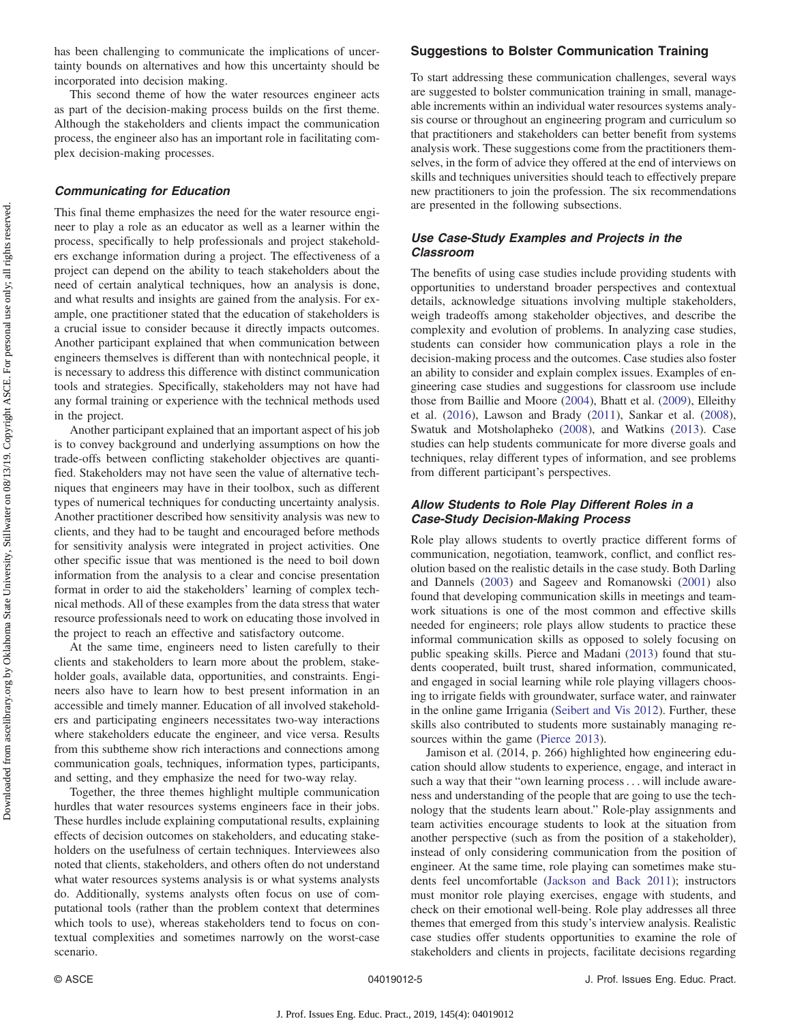has been challenging to communicate the implications of uncertainty bounds on alternatives and how this uncertainty should be incorporated into decision making.

This second theme of how the water resources engineer acts as part of the decision-making process builds on the first theme. Although the stakeholders and clients impact the communication process, the engineer also has an important role in facilitating complex decision-making processes.

### Communicating for Education

This final theme emphasizes the need for the water resource engineer to play a role as an educator as well as a learner within the process, specifically to help professionals and project stakeholders exchange information during a project. The effectiveness of a project can depend on the ability to teach stakeholders about the need of certain analytical techniques, how an analysis is done, and what results and insights are gained from the analysis. For example, one practitioner stated that the education of stakeholders is a crucial issue to consider because it directly impacts outcomes. Another participant explained that when communication between engineers themselves is different than with nontechnical people, it is necessary to address this difference with distinct communication tools and strategies. Specifically, stakeholders may not have had any formal training or experience with the technical methods used in the project.

Another participant explained that an important aspect of his job is to convey background and underlying assumptions on how the trade-offs between conflicting stakeholder objectives are quantified. Stakeholders may not have seen the value of alternative techniques that engineers may have in their toolbox, such as different types of numerical techniques for conducting uncertainty analysis. Another practitioner described how sensitivity analysis was new to clients, and they had to be taught and encouraged before methods for sensitivity analysis were integrated in project activities. One other specific issue that was mentioned is the need to boil down information from the analysis to a clear and concise presentation format in order to aid the stakeholders' learning of complex technical methods. All of these examples from the data stress that water resource professionals need to work on educating those involved in the project to reach an effective and satisfactory outcome.

At the same time, engineers need to listen carefully to their clients and stakeholders to learn more about the problem, stakeholder goals, available data, opportunities, and constraints. Engineers also have to learn how to best present information in an accessible and timely manner. Education of all involved stakeholders and participating engineers necessitates two-way interactions where stakeholders educate the engineer, and vice versa. Results from this subtheme show rich interactions and connections among communication goals, techniques, information types, participants, and setting, and they emphasize the need for two-way relay.

Together, the three themes highlight multiple communication hurdles that water resources systems engineers face in their jobs. These hurdles include explaining computational results, explaining effects of decision outcomes on stakeholders, and educating stakeholders on the usefulness of certain techniques. Interviewees also noted that clients, stakeholders, and others often do not understand what water resources systems analysis is or what systems analysts do. Additionally, systems analysts often focus on use of computational tools (rather than the problem context that determines which tools to use), whereas stakeholders tend to focus on contextual complexities and sometimes narrowly on the worst-case scenario.

## Suggestions to Bolster Communication Training

To start addressing these communication challenges, several ways are suggested to bolster communication training in small, manageable increments within an individual water resources systems analysis course or throughout an engineering program and curriculum so that practitioners and stakeholders can better benefit from systems analysis work. These suggestions come from the practitioners themselves, in the form of advice they offered at the end of interviews on skills and techniques universities should teach to effectively prepare new practitioners to join the profession. The six recommendations are presented in the following subsections.

# Use Case-Study Examples and Projects in the Classroom

The benefits of using case studies include providing students with opportunities to understand broader perspectives and contextual details, acknowledge situations involving multiple stakeholders, weigh tradeoffs among stakeholder objectives, and describe the complexity and evolution of problems. In analyzing case studies, students can consider how communication plays a role in the decision-making process and the outcomes. Case studies also foster an ability to consider and explain complex issues. Examples of engineering case studies and suggestions for classroom use include those from Baillie and Moore ([2004\)](#page-9-0), Bhatt et al. ([2009\)](#page-9-0), Elleithy et al. ([2016\)](#page-9-0), Lawson and Brady [\(2011](#page-9-0)), Sankar et al. ([2008\)](#page-10-0), Swatuk and Motsholapheko [\(2008](#page-10-0)), and Watkins [\(2013](#page-10-0)). Case studies can help students communicate for more diverse goals and techniques, relay different types of information, and see problems from different participant's perspectives.

# Allow Students to Role Play Different Roles in a Case-Study Decision-Making Process

Role play allows students to overtly practice different forms of communication, negotiation, teamwork, conflict, and conflict resolution based on the realistic details in the case study. Both Darling and Dannels [\(2003](#page-9-0)) and Sageev and Romanowski [\(2001](#page-10-0)) also found that developing communication skills in meetings and teamwork situations is one of the most common and effective skills needed for engineers; role plays allow students to practice these informal communication skills as opposed to solely focusing on public speaking skills. Pierce and Madani [\(2013](#page-10-0)) found that students cooperated, built trust, shared information, communicated, and engaged in social learning while role playing villagers choosing to irrigate fields with groundwater, surface water, and rainwater in the online game Irrigania ([Seibert and Vis 2012](#page-10-0)). Further, these skills also contributed to students more sustainably managing resources within the game ([Pierce 2013](#page-10-0)).

Jamison et al. (2014, p. 266) highlighted how engineering education should allow students to experience, engage, and interact in such a way that their "own learning process . . . will include awareness and understanding of the people that are going to use the technology that the students learn about." Role-play assignments and team activities encourage students to look at the situation from another perspective (such as from the position of a stakeholder), instead of only considering communication from the position of engineer. At the same time, role playing can sometimes make students feel uncomfortable ([Jackson and Back 2011](#page-9-0)); instructors must monitor role playing exercises, engage with students, and check on their emotional well-being. Role play addresses all three themes that emerged from this study's interview analysis. Realistic case studies offer students opportunities to examine the role of stakeholders and clients in projects, facilitate decisions regarding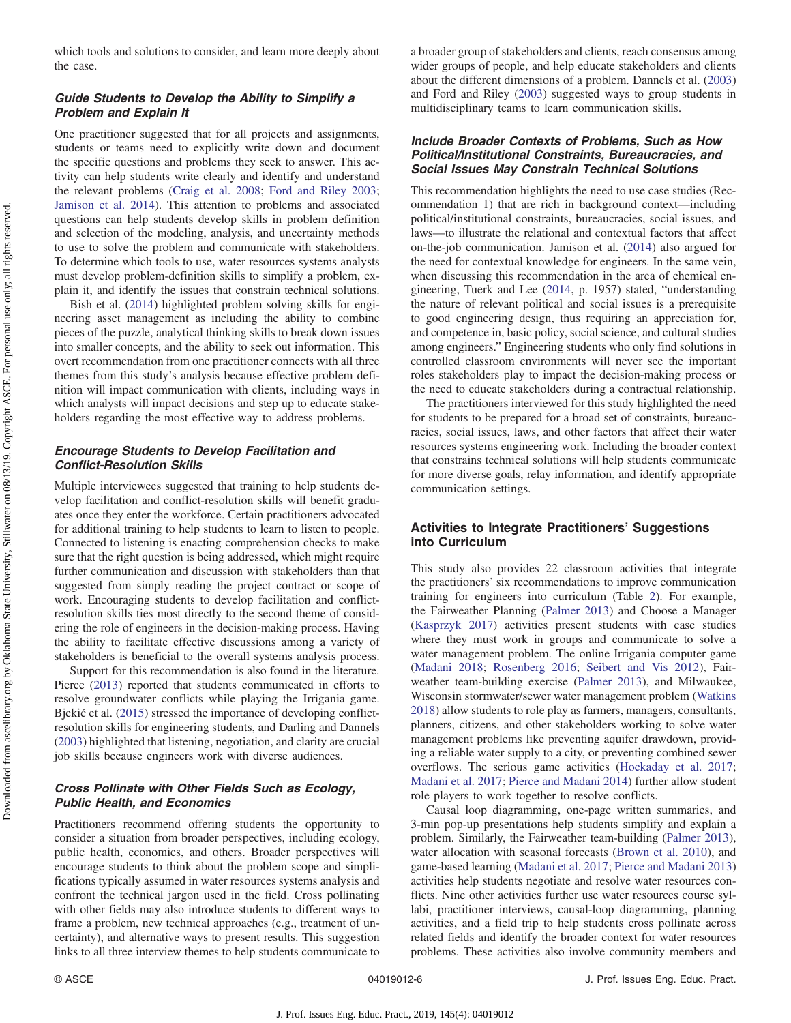which tools and solutions to consider, and learn more deeply about the case.

# Guide Students to Develop the Ability to Simplify a Problem and Explain It

One practitioner suggested that for all projects and assignments, students or teams need to explicitly write down and document the specific questions and problems they seek to answer. This activity can help students write clearly and identify and understand the relevant problems ([Craig et al. 2008;](#page-9-0) [Ford and Riley 2003](#page-9-0); [Jamison et al. 2014\)](#page-9-0). This attention to problems and associated questions can help students develop skills in problem definition and selection of the modeling, analysis, and uncertainty methods to use to solve the problem and communicate with stakeholders. To determine which tools to use, water resources systems analysts must develop problem-definition skills to simplify a problem, explain it, and identify the issues that constrain technical solutions.

Bish et al. [\(2014](#page-9-0)) highlighted problem solving skills for engineering asset management as including the ability to combine pieces of the puzzle, analytical thinking skills to break down issues into smaller concepts, and the ability to seek out information. This overt recommendation from one practitioner connects with all three themes from this study's analysis because effective problem definition will impact communication with clients, including ways in which analysts will impact decisions and step up to educate stakeholders regarding the most effective way to address problems.

## Encourage Students to Develop Facilitation and Conflict-Resolution Skills

Multiple interviewees suggested that training to help students develop facilitation and conflict-resolution skills will benefit graduates once they enter the workforce. Certain practitioners advocated for additional training to help students to learn to listen to people. Connected to listening is enacting comprehension checks to make sure that the right question is being addressed, which might require further communication and discussion with stakeholders than that suggested from simply reading the project contract or scope of work. Encouraging students to develop facilitation and conflictresolution skills ties most directly to the second theme of considering the role of engineers in the decision-making process. Having the ability to facilitate effective discussions among a variety of stakeholders is beneficial to the overall systems analysis process.

Support for this recommendation is also found in the literature. Pierce ([2013\)](#page-10-0) reported that students communicated in efforts to resolve groundwater conflicts while playing the Irrigania game. Bjekić et al. ([2015\)](#page-9-0) stressed the importance of developing conflictresolution skills for engineering students, and Darling and Dannels [\(2003](#page-9-0)) highlighted that listening, negotiation, and clarity are crucial job skills because engineers work with diverse audiences.

# Cross Pollinate with Other Fields Such as Ecology, Public Health, and Economics

Practitioners recommend offering students the opportunity to consider a situation from broader perspectives, including ecology, public health, economics, and others. Broader perspectives will encourage students to think about the problem scope and simplifications typically assumed in water resources systems analysis and confront the technical jargon used in the field. Cross pollinating with other fields may also introduce students to different ways to frame a problem, new technical approaches (e.g., treatment of uncertainty), and alternative ways to present results. This suggestion links to all three interview themes to help students communicate to a broader group of stakeholders and clients, reach consensus among wider groups of people, and help educate stakeholders and clients about the different dimensions of a problem. Dannels et al. ([2003\)](#page-9-0) and Ford and Riley [\(2003](#page-9-0)) suggested ways to group students in multidisciplinary teams to learn communication skills.

# Include Broader Contexts of Problems, Such as How Political/Institutional Constraints, Bureaucracies, and Social Issues May Constrain Technical Solutions

This recommendation highlights the need to use case studies (Recommendation 1) that are rich in background context—including political/institutional constraints, bureaucracies, social issues, and laws—to illustrate the relational and contextual factors that affect on-the-job communication. Jamison et al. ([2014\)](#page-9-0) also argued for the need for contextual knowledge for engineers. In the same vein, when discussing this recommendation in the area of chemical engineering, Tuerk and Lee [\(2014](#page-10-0), p. 1957) stated, "understanding the nature of relevant political and social issues is a prerequisite to good engineering design, thus requiring an appreciation for, and competence in, basic policy, social science, and cultural studies among engineers." Engineering students who only find solutions in controlled classroom environments will never see the important roles stakeholders play to impact the decision-making process or the need to educate stakeholders during a contractual relationship.

The practitioners interviewed for this study highlighted the need for students to be prepared for a broad set of constraints, bureaucracies, social issues, laws, and other factors that affect their water resources systems engineering work. Including the broader context that constrains technical solutions will help students communicate for more diverse goals, relay information, and identify appropriate communication settings.

# Activities to Integrate Practitioners' Suggestions into Curriculum

This study also provides 22 classroom activities that integrate the practitioners' six recommendations to improve communication training for engineers into curriculum (Table [2\)](#page-6-0). For example, the Fairweather Planning [\(Palmer 2013\)](#page-10-0) and Choose a Manager [\(Kasprzyk 2017\)](#page-9-0) activities present students with case studies where they must work in groups and communicate to solve a water management problem. The online Irrigania computer game [\(Madani 2018](#page-9-0); [Rosenberg 2016](#page-10-0); [Seibert and Vis 2012](#page-10-0)), Fairweather team-building exercise [\(Palmer 2013](#page-10-0)), and Milwaukee, Wisconsin stormwater/sewer water management problem [\(Watkins](#page-10-0) [2018](#page-10-0)) allow students to role play as farmers, managers, consultants, planners, citizens, and other stakeholders working to solve water management problems like preventing aquifer drawdown, providing a reliable water supply to a city, or preventing combined sewer overflows. The serious game activities ([Hockaday et al. 2017](#page-9-0); [Madani et al. 2017](#page-9-0); [Pierce and Madani 2014](#page-10-0)) further allow student role players to work together to resolve conflicts.

Causal loop diagramming, one-page written summaries, and 3-min pop-up presentations help students simplify and explain a problem. Similarly, the Fairweather team-building ([Palmer 2013\)](#page-10-0), water allocation with seasonal forecasts [\(Brown et al. 2010\)](#page-9-0), and game-based learning [\(Madani et al. 2017](#page-9-0); [Pierce and Madani 2013\)](#page-10-0) activities help students negotiate and resolve water resources conflicts. Nine other activities further use water resources course syllabi, practitioner interviews, causal-loop diagramming, planning activities, and a field trip to help students cross pollinate across related fields and identify the broader context for water resources problems. These activities also involve community members and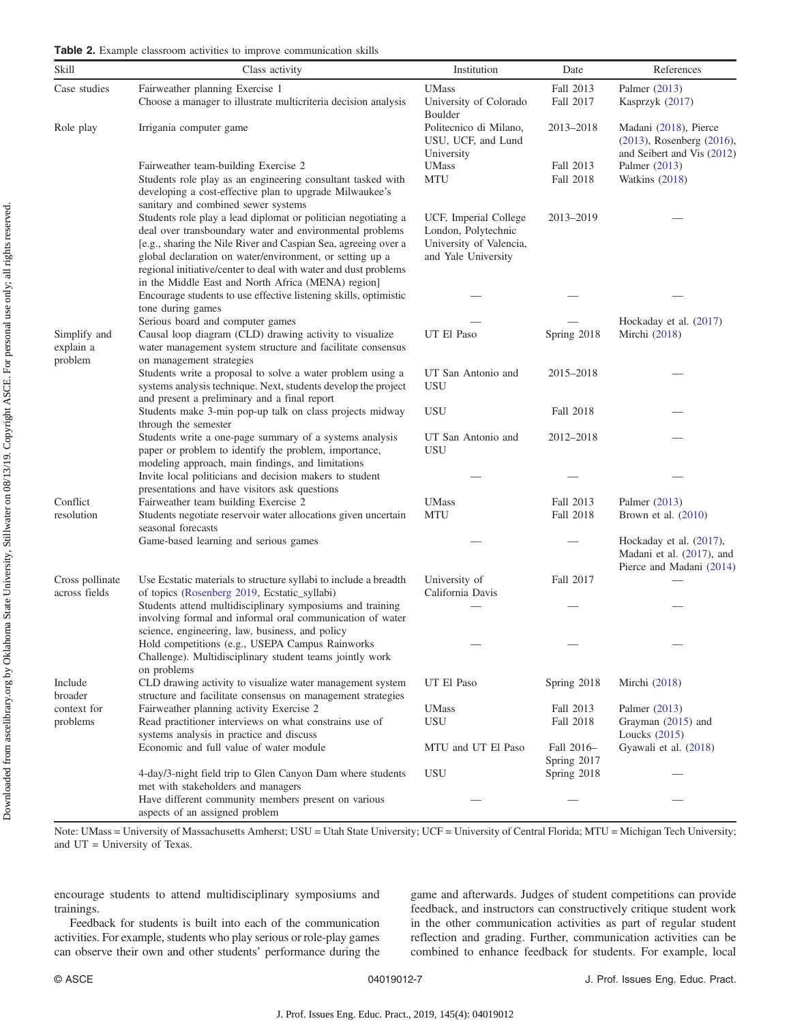| Table 2. Example classroom activities to improve communication skills |  |  |  |  |  |  |
|-----------------------------------------------------------------------|--|--|--|--|--|--|
|-----------------------------------------------------------------------|--|--|--|--|--|--|

<span id="page-6-0"></span>

| Skill                                | Class activity                                                                                                                                                                                                                                                                                                                                                                    | Institution                                                                                    | Date                      | References                                                                       |
|--------------------------------------|-----------------------------------------------------------------------------------------------------------------------------------------------------------------------------------------------------------------------------------------------------------------------------------------------------------------------------------------------------------------------------------|------------------------------------------------------------------------------------------------|---------------------------|----------------------------------------------------------------------------------|
| Case studies                         | Fairweather planning Exercise 1<br>Choose a manager to illustrate multicriteria decision analysis                                                                                                                                                                                                                                                                                 | <b>UMass</b><br>University of Colorado<br>Boulder                                              | Fall 2013<br>Fall 2017    | Palmer (2013)<br>Kasprzyk (2017)                                                 |
| Role play                            | Irrigania computer game                                                                                                                                                                                                                                                                                                                                                           | Politecnico di Milano,<br>USU, UCF, and Lund<br>University                                     | 2013-2018                 | Madani (2018), Pierce<br>(2013), Rosenberg (2016),<br>and Seibert and Vis (2012) |
|                                      | Fairweather team-building Exercise 2<br>Students role play as an engineering consultant tasked with<br>developing a cost-effective plan to upgrade Milwaukee's<br>sanitary and combined sewer systems                                                                                                                                                                             | <b>UMass</b><br>MTU                                                                            | Fall 2013<br>Fall 2018    | Palmer (2013)<br>Watkins (2018)                                                  |
|                                      | Students role play a lead diplomat or politician negotiating a<br>deal over transboundary water and environmental problems<br>[e.g., sharing the Nile River and Caspian Sea, agreeing over a<br>global declaration on water/environment, or setting up a<br>regional initiative/center to deal with water and dust problems<br>in the Middle East and North Africa (MENA) region] | UCF, Imperial College<br>London, Polytechnic<br>University of Valencia,<br>and Yale University | 2013-2019                 |                                                                                  |
|                                      | Encourage students to use effective listening skills, optimistic<br>tone during games                                                                                                                                                                                                                                                                                             |                                                                                                |                           |                                                                                  |
| Simplify and<br>explain a<br>problem | Serious board and computer games<br>Causal loop diagram (CLD) drawing activity to visualize<br>water management system structure and facilitate consensus<br>on management strategies                                                                                                                                                                                             | UT El Paso                                                                                     | Spring 2018               | Hockaday et al. (2017)<br>Mirchi (2018)                                          |
|                                      | Students write a proposal to solve a water problem using a<br>systems analysis technique. Next, students develop the project<br>and present a preliminary and a final report                                                                                                                                                                                                      | UT San Antonio and<br><b>USU</b>                                                               | 2015-2018                 |                                                                                  |
|                                      | Students make 3-min pop-up talk on class projects midway<br>through the semester                                                                                                                                                                                                                                                                                                  | USU                                                                                            | Fall 2018                 |                                                                                  |
|                                      | Students write a one-page summary of a systems analysis<br>paper or problem to identify the problem, importance,<br>modeling approach, main findings, and limitations                                                                                                                                                                                                             | UT San Antonio and<br>USU                                                                      | 2012-2018                 |                                                                                  |
|                                      | Invite local politicians and decision makers to student<br>presentations and have visitors ask questions                                                                                                                                                                                                                                                                          |                                                                                                |                           |                                                                                  |
| Conflict<br>resolution               | Fairweather team building Exercise 2<br>Students negotiate reservoir water allocations given uncertain<br>seasonal forecasts                                                                                                                                                                                                                                                      | <b>UMass</b><br><b>MTU</b>                                                                     | Fall 2013<br>Fall 2018    | Palmer (2013)<br>Brown et al. $(2010)$                                           |
|                                      | Game-based learning and serious games                                                                                                                                                                                                                                                                                                                                             |                                                                                                |                           | Hockaday et al. (2017),<br>Madani et al. (2017), and<br>Pierce and Madani (2014) |
| Cross pollinate<br>across fields     | Use Ecstatic materials to structure syllabi to include a breadth<br>of topics (Rosenberg 2019, Ecstatic_syllabi)                                                                                                                                                                                                                                                                  | University of<br>California Davis                                                              | Fall 2017                 |                                                                                  |
|                                      | Students attend multidisciplinary symposiums and training<br>involving formal and informal oral communication of water                                                                                                                                                                                                                                                            |                                                                                                |                           |                                                                                  |
|                                      | science, engineering, law, business, and policy<br>Hold competitions (e.g., USEPA Campus Rainworks<br>Challenge). Multidisciplinary student teams jointly work<br>on problems                                                                                                                                                                                                     |                                                                                                |                           |                                                                                  |
| Include<br>broader                   | CLD drawing activity to visualize water management system<br>structure and facilitate consensus on management strategies                                                                                                                                                                                                                                                          | UT El Paso                                                                                     | Spring 2018               | Mirchi (2018)                                                                    |
| context for<br>problems              | Fairweather planning activity Exercise 2<br>Read practitioner interviews on what constrains use of<br>systems analysis in practice and discuss                                                                                                                                                                                                                                    | <b>UMass</b><br>USU                                                                            | Fall 2013<br>Fall 2018    | Palmer (2013)<br>Grayman (2015) and<br>Loucks $(2015)$                           |
|                                      | Economic and full value of water module                                                                                                                                                                                                                                                                                                                                           | MTU and UT El Paso                                                                             | Fall 2016-<br>Spring 2017 | Gyawali et al. (2018)                                                            |
|                                      | 4-day/3-night field trip to Glen Canyon Dam where students<br>met with stakeholders and managers                                                                                                                                                                                                                                                                                  | <b>USU</b>                                                                                     | Spring 2018               |                                                                                  |
|                                      | Have different community members present on various<br>aspects of an assigned problem                                                                                                                                                                                                                                                                                             |                                                                                                |                           |                                                                                  |

Note: UMass = University of Massachusetts Amherst; USU = Utah State University; UCF = University of Central Florida; MTU = Michigan Tech University; and UT = University of Texas.

encourage students to attend multidisciplinary symposiums and trainings.

Feedback for students is built into each of the communication activities. For example, students who play serious or role-play games can observe their own and other students' performance during the game and afterwards. Judges of student competitions can provide feedback, and instructors can constructively critique student work in the other communication activities as part of regular student reflection and grading. Further, communication activities can be combined to enhance feedback for students. For example, local

Downloaded from ascelibrary.org by Oklahoma State University, Stillwater on 08/13/19. Copyright ASCE. For personal use only; all rights reserved. Downloaded from ascelibrary.org by Oklahoma State University, Stillwater on 08/13/19. Copyright ASCE. For personal use only; all rights reserved.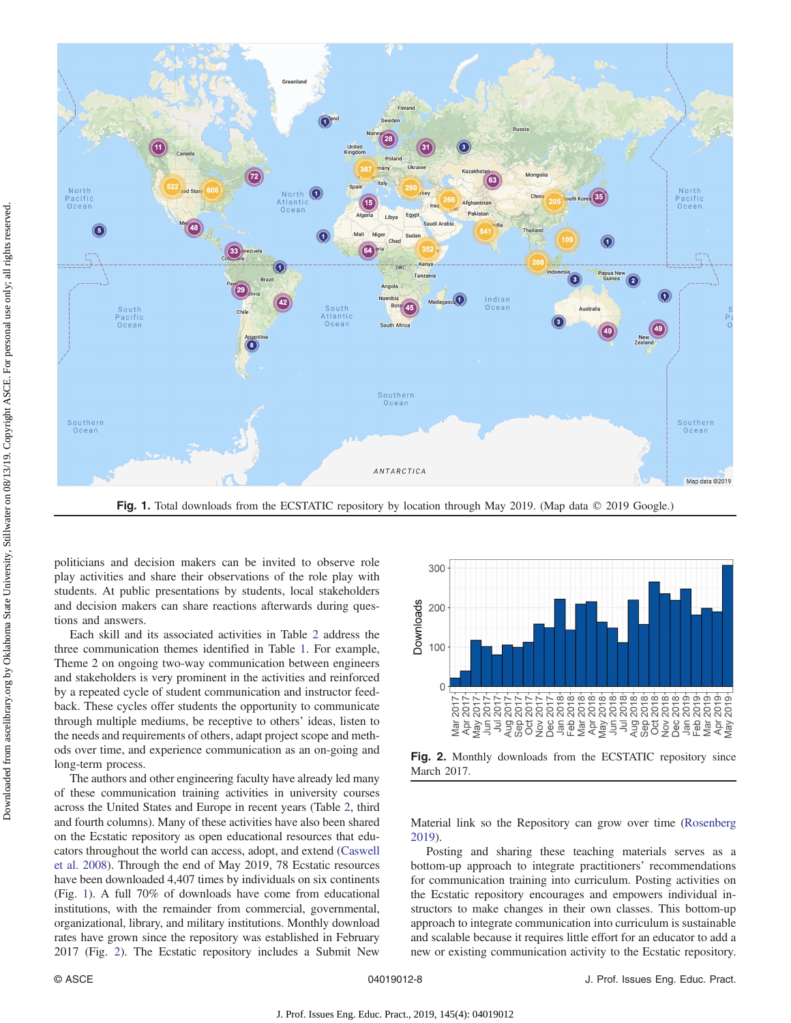

Fig. 1. Total downloads from the ECSTATIC repository by location through May 2019. (Map data © 2019 Google.)

politicians and decision makers can be invited to observe role play activities and share their observations of the role play with students. At public presentations by students, local stakeholders and decision makers can share reactions afterwards during questions and answers.

Each skill and its associated activities in Table [2](#page-6-0) address the three communication themes identified in Table [1](#page-3-0). For example, Theme 2 on ongoing two-way communication between engineers and stakeholders is very prominent in the activities and reinforced by a repeated cycle of student communication and instructor feedback. These cycles offer students the opportunity to communicate through multiple mediums, be receptive to others' ideas, listen to the needs and requirements of others, adapt project scope and methods over time, and experience communication as an on-going and long-term process.

The authors and other engineering faculty have already led many of these communication training activities in university courses across the United States and Europe in recent years (Table [2](#page-6-0), third and fourth columns). Many of these activities have also been shared on the Ecstatic repository as open educational resources that educators throughout the world can access, adopt, and extend [\(Caswell](#page-9-0) [et al. 2008\)](#page-9-0). Through the end of May 2019, 78 Ecstatic resources have been downloaded 4,407 times by individuals on six continents (Fig. 1). A full 70% of downloads have come from educational institutions, with the remainder from commercial, governmental, organizational, library, and military institutions. Monthly download rates have grown since the repository was established in February 2017 (Fig. 2). The Ecstatic repository includes a Submit New



Fig. 2. Monthly downloads from the ECSTATIC repository since March 2017.

Material link so the Repository can grow over time [\(Rosenberg](#page-10-0) [2019\)](#page-10-0).

Posting and sharing these teaching materials serves as a bottom-up approach to integrate practitioners' recommendations for communication training into curriculum. Posting activities on the Ecstatic repository encourages and empowers individual instructors to make changes in their own classes. This bottom-up approach to integrate communication into curriculum is sustainable and scalable because it requires little effort for an educator to add a new or existing communication activity to the Ecstatic repository.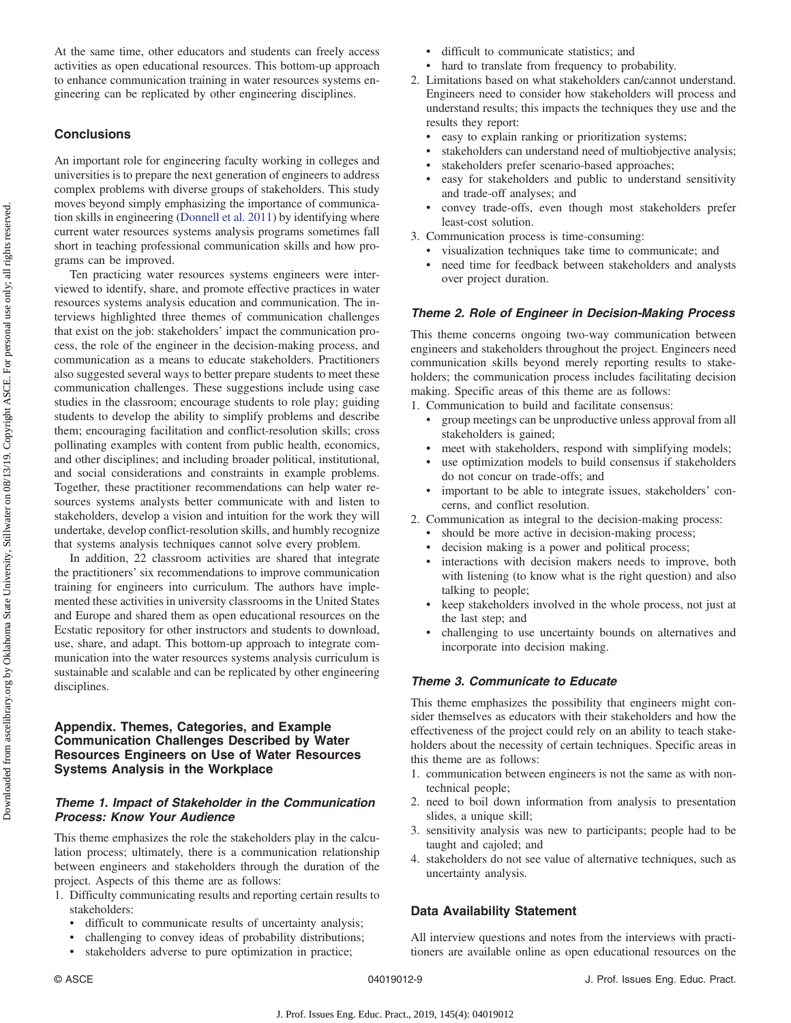At the same time, other educators and students can freely access activities as open educational resources. This bottom-up approach to enhance communication training in water resources systems engineering can be replicated by other engineering disciplines.

# **Conclusions**

An important role for engineering faculty working in colleges and universities is to prepare the next generation of engineers to address complex problems with diverse groups of stakeholders. This study moves beyond simply emphasizing the importance of communication skills in engineering ([Donnell et al. 2011](#page-9-0)) by identifying where current water resources systems analysis programs sometimes fall short in teaching professional communication skills and how programs can be improved.

Ten practicing water resources systems engineers were interviewed to identify, share, and promote effective practices in water resources systems analysis education and communication. The interviews highlighted three themes of communication challenges that exist on the job: stakeholders' impact the communication process, the role of the engineer in the decision-making process, and communication as a means to educate stakeholders. Practitioners also suggested several ways to better prepare students to meet these communication challenges. These suggestions include using case studies in the classroom; encourage students to role play; guiding students to develop the ability to simplify problems and describe them; encouraging facilitation and conflict-resolution skills; cross pollinating examples with content from public health, economics, and other disciplines; and including broader political, institutional, and social considerations and constraints in example problems. Together, these practitioner recommendations can help water resources systems analysts better communicate with and listen to stakeholders, develop a vision and intuition for the work they will undertake, develop conflict-resolution skills, and humbly recognize that systems analysis techniques cannot solve every problem.

In addition, 22 classroom activities are shared that integrate the practitioners' six recommendations to improve communication training for engineers into curriculum. The authors have implemented these activities in university classrooms in the United States and Europe and shared them as open educational resources on the Ecstatic repository for other instructors and students to download, use, share, and adapt. This bottom-up approach to integrate communication into the water resources systems analysis curriculum is sustainable and scalable and can be replicated by other engineering disciplines.

# Appendix. Themes, Categories, and Example Communication Challenges Described by Water Resources Engineers on Use of Water Resources Systems Analysis in the Workplace

# Theme 1. Impact of Stakeholder in the Communication Process: Know Your Audience

This theme emphasizes the role the stakeholders play in the calculation process; ultimately, there is a communication relationship between engineers and stakeholders through the duration of the project. Aspects of this theme are as follows:

- 1. Difficulty communicating results and reporting certain results to stakeholders:
	- difficult to communicate results of uncertainty analysis;
	- challenging to convey ideas of probability distributions;
	- stakeholders adverse to pure optimization in practice;
- difficult to communicate statistics; and
- hard to translate from frequency to probability.
- 2. Limitations based on what stakeholders can/cannot understand. Engineers need to consider how stakeholders will process and understand results; this impacts the techniques they use and the results they report:
	- easy to explain ranking or prioritization systems;
	- stakeholders can understand need of multiobjective analysis;
	- stakeholders prefer scenario-based approaches;
	- easy for stakeholders and public to understand sensitivity and trade-off analyses; and
	- convey trade-offs, even though most stakeholders prefer least-cost solution.
- 3. Communication process is time-consuming:
	- visualization techniques take time to communicate; and • need time for feedback between stakeholders and analysts over project duration.

## Theme 2. Role of Engineer in Decision-Making Process

This theme concerns ongoing two-way communication between engineers and stakeholders throughout the project. Engineers need communication skills beyond merely reporting results to stakeholders; the communication process includes facilitating decision making. Specific areas of this theme are as follows:

1. Communication to build and facilitate consensus:

- group meetings can be unproductive unless approval from all stakeholders is gained;
- meet with stakeholders, respond with simplifying models;
- use optimization models to build consensus if stakeholders do not concur on trade-offs; and
- important to be able to integrate issues, stakeholders' concerns, and conflict resolution.
- 2. Communication as integral to the decision-making process:
	- should be more active in decision-making process;
	- decision making is a power and political process;
	- interactions with decision makers needs to improve, both with listening (to know what is the right question) and also talking to people;
	- keep stakeholders involved in the whole process, not just at the last step; and
	- challenging to use uncertainty bounds on alternatives and incorporate into decision making.

# Theme 3. Communicate to Educate

This theme emphasizes the possibility that engineers might consider themselves as educators with their stakeholders and how the effectiveness of the project could rely on an ability to teach stakeholders about the necessity of certain techniques. Specific areas in this theme are as follows:

- 1. communication between engineers is not the same as with nontechnical people;
- 2. need to boil down information from analysis to presentation slides, a unique skill;
- 3. sensitivity analysis was new to participants; people had to be taught and cajoled; and
- 4. stakeholders do not see value of alternative techniques, such as uncertainty analysis.

# Data Availability Statement

All interview questions and notes from the interviews with practitioners are available online as open educational resources on the

Downloaded from ascelibrary org by Oklahoma State University, Stillwater on 08/13/19. Copyright ASCE. For personal use only; all rights reserved Downloaded from ascelibrary.org by Oklahoma State University, Stillwater on 08/13/19. Copyright ASCE. For personal use only; all rights reserved.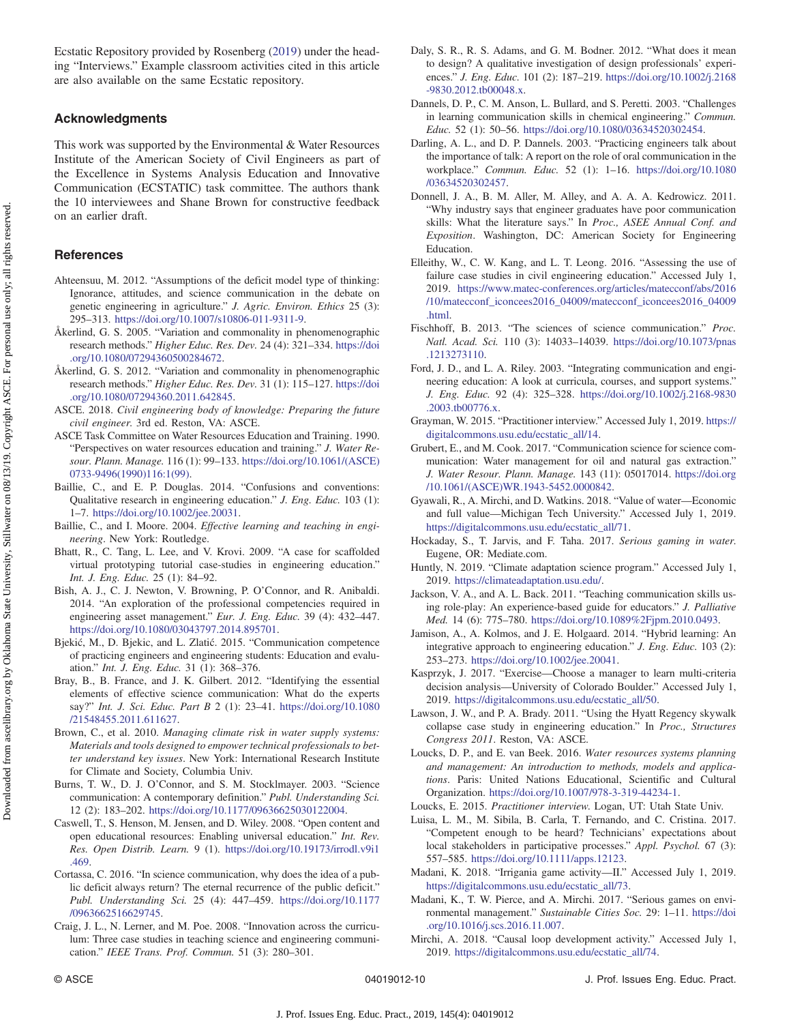<span id="page-9-0"></span>Ecstatic Repository provided by Rosenberg [\(2019](#page-10-0)) under the heading "Interviews." Example classroom activities cited in this article are also available on the same Ecstatic repository.

# Acknowledgments

This work was supported by the Environmental & Water Resources Institute of the American Society of Civil Engineers as part of the Excellence in Systems Analysis Education and Innovative Communication (ECSTATIC) task committee. The authors thank the 10 interviewees and Shane Brown for constructive feedback on an earlier draft.

# **References**

Downloaded from ascelibrary.org by Oklahoma State University, Stillwater on 08/13/19. Copyright ASCE. For personal use only; all rights reserved. Downloaded from ascelibrary.org by Oklahoma State University, Stillwater on 08/13/19. Copyright ASCE. For personal use only; all rights reserved.

- Ahteensuu, M. 2012. "Assumptions of the deficit model type of thinking: Ignorance, attitudes, and science communication in the debate on genetic engineering in agriculture." J. Agric. Environ. Ethics 25 (3): 295–313. <https://doi.org/10.1007/s10806-011-9311-9>.
- Åkerlind, G. S. 2005. "Variation and commonality in phenomenographic research methods." Higher Educ. Res. Dev. 24 (4): 321–334. [https://doi](https://doi.org/10.1080/07294360500284672) [.org/10.1080/07294360500284672.](https://doi.org/10.1080/07294360500284672)
- Åkerlind, G. S. 2012. "Variation and commonality in phenomenographic research methods." Higher Educ. Res. Dev. 31 (1): 115–127. [https://doi](https://doi.org/10.1080/07294360.2011.642845) [.org/10.1080/07294360.2011.642845](https://doi.org/10.1080/07294360.2011.642845).
- ASCE. 2018. Civil engineering body of knowledge: Preparing the future civil engineer. 3rd ed. Reston, VA: ASCE.
- ASCE Task Committee on Water Resources Education and Training. 1990. "Perspectives on water resources education and training." J. Water Resour. Plann. Manage. 116 (1): 99–133. [https://doi.org/10.1061/\(ASCE\)](https://doi.org/10.1061/(ASCE)0733-9496(1990)116:1(99)) [0733-9496\(1990\)116:1\(99\).](https://doi.org/10.1061/(ASCE)0733-9496(1990)116:1(99))
- Baillie, C., and E. P. Douglas. 2014. "Confusions and conventions: Qualitative research in engineering education." J. Eng. Educ. 103 (1): 1–7. [https://doi.org/10.1002/jee.20031.](https://doi.org/10.1002/jee.20031)
- Baillie, C., and I. Moore. 2004. Effective learning and teaching in engineering. New York: Routledge.
- Bhatt, R., C. Tang, L. Lee, and V. Krovi. 2009. "A case for scaffolded virtual prototyping tutorial case-studies in engineering education." Int. J. Eng. Educ. 25 (1): 84–92.
- Bish, A. J., C. J. Newton, V. Browning, P. O'Connor, and R. Anibaldi. 2014. "An exploration of the professional competencies required in engineering asset management." Eur. J. Eng. Educ. 39 (4): 432–447. <https://doi.org/10.1080/03043797.2014.895701>.
- Bjekić, M., D. Bjekic, and L. Zlatić. 2015. "Communication competence of practicing engineers and engineering students: Education and evaluation." Int. J. Eng. Educ. 31 (1): 368–376.
- Bray, B., B. France, and J. K. Gilbert. 2012. "Identifying the essential elements of effective science communication: What do the experts say?" Int. J. Sci. Educ. Part B 2 (1): 23–41. [https://doi.org/10.1080](https://doi.org/10.1080/21548455.2011.611627) [/21548455.2011.611627](https://doi.org/10.1080/21548455.2011.611627).
- Brown, C., et al. 2010. Managing climate risk in water supply systems: Materials and tools designed to empower technical professionals to better understand key issues. New York: International Research Institute for Climate and Society, Columbia Univ.
- Burns, T. W., D. J. O'Connor, and S. M. Stocklmayer. 2003. "Science communication: A contemporary definition." Publ. Understanding Sci. 12 (2): 183–202. <https://doi.org/10.1177/09636625030122004>.
- Caswell, T., S. Henson, M. Jensen, and D. Wiley. 2008. "Open content and open educational resources: Enabling universal education." Int. Rev. Res. Open Distrib. Learn. 9 (1). [https://doi.org/10.19173/irrodl.v9i1](https://doi.org/10.19173/irrodl.v9i1.469) [.469.](https://doi.org/10.19173/irrodl.v9i1.469)
- Cortassa, C. 2016. "In science communication, why does the idea of a public deficit always return? The eternal recurrence of the public deficit." Publ. Understanding Sci. 25 (4): 447–459. [https://doi.org/10.1177](https://doi.org/10.1177/0963662516629745) [/0963662516629745](https://doi.org/10.1177/0963662516629745).
- Craig, J. L., N. Lerner, and M. Poe. 2008. "Innovation across the curriculum: Three case studies in teaching science and engineering communication." IEEE Trans. Prof. Commun. 51 (3): 280–301.
- Daly, S. R., R. S. Adams, and G. M. Bodner. 2012. "What does it mean to design? A qualitative investigation of design professionals' experiences." J. Eng. Educ. 101 (2): 187–219. [https://doi.org/10.1002/j.2168](https://doi.org/10.1002/j.2168-9830.2012.tb00048.x) [-9830.2012.tb00048.x](https://doi.org/10.1002/j.2168-9830.2012.tb00048.x).
- Dannels, D. P., C. M. Anson, L. Bullard, and S. Peretti. 2003. "Challenges in learning communication skills in chemical engineering." Commun. Educ. 52 (1): 50–56. <https://doi.org/10.1080/03634520302454>.
- Darling, A. L., and D. P. Dannels. 2003. "Practicing engineers talk about the importance of talk: A report on the role of oral communication in the workplace." Commun. Educ. 52 (1): 1–16. [https://doi.org/10.1080](https://doi.org/10.1080/03634520302457) [/03634520302457.](https://doi.org/10.1080/03634520302457)
- Donnell, J. A., B. M. Aller, M. Alley, and A. A. A. Kedrowicz. 2011. "Why industry says that engineer graduates have poor communication skills: What the literature says." In Proc., ASEE Annual Conf. and Exposition. Washington, DC: American Society for Engineering Education.
- Elleithy, W., C. W. Kang, and L. T. Leong. 2016. "Assessing the use of failure case studies in civil engineering education." Accessed July 1, 2019. [https://www.matec-conferences.org/articles/matecconf/abs/2016](https://www.matec-conferences.org/articles/matecconf/abs/2016/10/matecconf_iconcees2016_04009/matecconf_iconcees2016_04009.html) [/10/matecconf\\_iconcees2016\\_04009/matecconf\\_iconcees2016\\_04009](https://www.matec-conferences.org/articles/matecconf/abs/2016/10/matecconf_iconcees2016_04009/matecconf_iconcees2016_04009.html) [.html.](https://www.matec-conferences.org/articles/matecconf/abs/2016/10/matecconf_iconcees2016_04009/matecconf_iconcees2016_04009.html)
- Fischhoff, B. 2013. "The sciences of science communication." Proc. Natl. Acad. Sci. 110 (3): 14033–14039. [https://doi.org/10.1073/pnas](https://doi.org/10.1073/pnas.1213273110) [.1213273110.](https://doi.org/10.1073/pnas.1213273110)
- Ford, J. D., and L. A. Riley. 2003. "Integrating communication and engineering education: A look at curricula, courses, and support systems." J. Eng. Educ. 92 (4): 325–328. [https://doi.org/10.1002/j.2168-9830](https://doi.org/10.1002/j.2168-9830.2003.tb00776.x) [.2003.tb00776.x](https://doi.org/10.1002/j.2168-9830.2003.tb00776.x).
- Grayman, W. 2015. "Practitioner interview." Accessed July 1, 2019. [https://](https://digitalcommons.usu.edu/ecstatic_all/14) [digitalcommons.usu.edu/ecstatic\\_all/14](https://digitalcommons.usu.edu/ecstatic_all/14).
- Grubert, E., and M. Cook. 2017. "Communication science for science communication: Water management for oil and natural gas extraction." J. Water Resour. Plann. Manage. 143 (11): 05017014. [https://doi.org](https://doi.org/10.1061/(ASCE)WR.1943-5452.0000842) [/10.1061/\(ASCE\)WR.1943-5452.0000842.](https://doi.org/10.1061/(ASCE)WR.1943-5452.0000842)
- Gyawali, R., A. Mirchi, and D. Watkins. 2018. "Value of water—Economic and full value—Michigan Tech University." Accessed July 1, 2019. [https://digitalcommons.usu.edu/ecstatic\\_all/71.](https://digitalcommons.usu.edu/ecstatic_all/71)
- Hockaday, S., T. Jarvis, and F. Taha. 2017. Serious gaming in water. Eugene, OR: Mediate.com.
- Huntly, N. 2019. "Climate adaptation science program." Accessed July 1, 2019. [https://climateadaptation.usu.edu/.](https://climateadaptation.usu.edu/)
- Jackson, V. A., and A. L. Back. 2011. "Teaching communication skills using role-play: An experience-based guide for educators." J. Palliative Med. 14 (6): 775–780. [https://doi.org/10.1089%2Fjpm.2010.0493.](https://doi.org/10.1089%2Fjpm.2010.0493)
- Jamison, A., A. Kolmos, and J. E. Holgaard. 2014. "Hybrid learning: An integrative approach to engineering education." J. Eng. Educ. 103 (2): 253–273. [https://doi.org/10.1002/jee.20041.](https://doi.org/10.1002/jee.20041)
- Kasprzyk, J. 2017. "Exercise—Choose a manager to learn multi-criteria decision analysis—University of Colorado Boulder." Accessed July 1, 2019. [https://digitalcommons.usu.edu/ecstatic\\_all/50.](https://digitalcommons.usu.edu/ecstatic_all/50)
- Lawson, J. W., and P. A. Brady. 2011. "Using the Hyatt Regency skywalk collapse case study in engineering education." In Proc., Structures Congress 2011. Reston, VA: ASCE.
- Loucks, D. P., and E. van Beek. 2016. Water resources systems planning and management: An introduction to methods, models and applications. Paris: United Nations Educational, Scientific and Cultural Organization. [https://doi.org/10.1007/978-3-319-44234-1.](https://doi.org/10.1007/978-3-319-44234-1)

- Luisa, L. M., M. Sibila, B. Carla, T. Fernando, and C. Cristina. 2017. "Competent enough to be heard? Technicians' expectations about local stakeholders in participative processes." Appl. Psychol. 67 (3): 557–585. <https://doi.org/10.1111/apps.12123>.
- Madani, K. 2018. "Irrigania game activity—II." Accessed July 1, 2019. [https://digitalcommons.usu.edu/ecstatic\\_all/73.](https://digitalcommons.usu.edu/ecstatic_all/73)
- Madani, K., T. W. Pierce, and A. Mirchi. 2017. "Serious games on environmental management." Sustainable Cities Soc. 29: 1–11. [https://doi](https://doi.org/10.1016/j.scs.2016.11.007) [.org/10.1016/j.scs.2016.11.007.](https://doi.org/10.1016/j.scs.2016.11.007)
- Mirchi, A. 2018. "Causal loop development activity." Accessed July 1, 2019. [https://digitalcommons.usu.edu/ecstatic\\_all/74.](https://digitalcommons.usu.edu/ecstatic_all/74)

Loucks, E. 2015. Practitioner interview. Logan, UT: Utah State Univ.